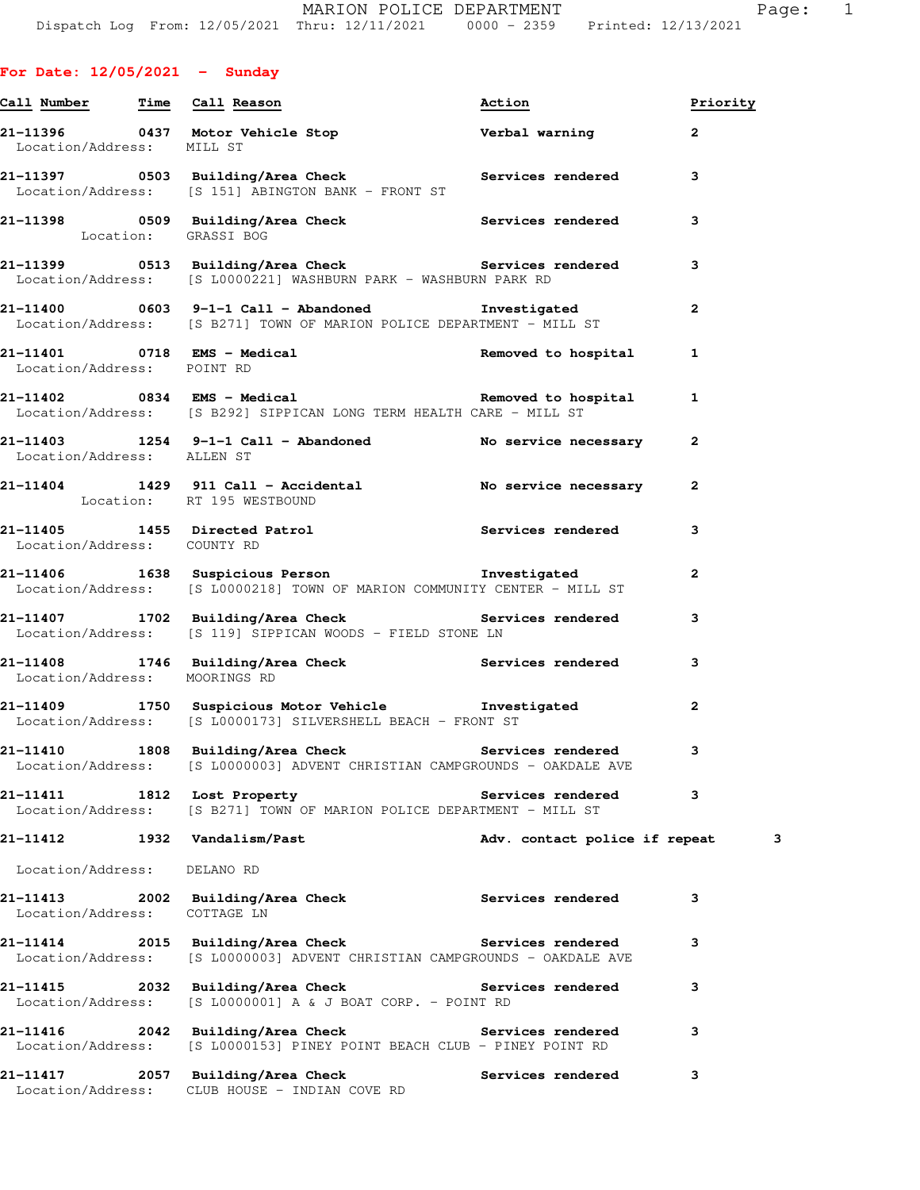|                               | Call Number Time Call Reason                                                                                                                     | Action                        | Priority       |   |
|-------------------------------|--------------------------------------------------------------------------------------------------------------------------------------------------|-------------------------------|----------------|---|
| Location/Address: MILL ST     | 21-11396      0437  Motor Vehicle Stop           Verbal warning       2                                                                          |                               |                |   |
|                               | 21-11397 0503 Building/Area Check Services rendered<br>Location/Address: [S 151] ABINGTON BANK - FRONT ST                                        |                               | 3              |   |
| Location: GRASSI BOG          | 21-11398 0509 Building/Area Check Services rendered 3                                                                                            |                               |                |   |
|                               | 21-11399 0513 Building/Area Check <b>Services</b> rendered<br>Location/Address: [S L0000221] WASHBURN PARK - WASHBURN PARK RD                    |                               | 3              |   |
|                               | Location/Address: [S B271] TOWN OF MARION POLICE DEPARTMENT - MILL ST                                                                            |                               | $\mathbf{2}$   |   |
| Location/Address: POINT RD    | 21-11401 0718 EMS - Medical and Removed to hospital 1                                                                                            |                               |                |   |
|                               | 21-11402      0834   EMS - Medical              Removed to hospital     1<br>Location/Address: [S B292] SIPPICAN LONG TERM HEALTH CARE - MILL ST |                               |                |   |
| Location/Address: ALLEN ST    | 21-11403 1254 9-1-1 Call - Abandoned No service necessary 2                                                                                      |                               |                |   |
|                               | 21-11404 1429 911 Call - Accidental No service necessary<br>Location: RT 195 WESTBOUND                                                           |                               | $\overline{2}$ |   |
| Location/Address: COUNTY RD   | 21-11405 1455 Directed Patrol 21-11405                                                                                                           |                               | 3              |   |
|                               | Location/Address: [S L0000218] TOWN OF MARION COMMUNITY CENTER - MILL ST                                                                         |                               | $\mathbf{2}$   |   |
|                               | 21-11407 1702 Building/Area Check Services rendered<br>Location/Address: [S 119] SIPPICAN WOODS - FIELD STONE LN                                 |                               | 3              |   |
| Location/Address: MOORINGS RD | 21-11408 1746 Building/Area Check 1997 Services rendered                                                                                         |                               | 3              |   |
|                               | 21-11409 1750 Suspicious Motor Vehicle the Investigated<br>Location/Address: [S L0000173] SILVERSHELL BEACH - FRONT ST                           |                               | $\mathbf{2}$   |   |
|                               | 21-11410 1808 Building/Area Check <b>Services</b> rendered<br>Location/Address: [S L0000003] ADVENT CHRISTIAN CAMPGROUNDS - OAKDALE AVE          |                               | 3              |   |
|                               | 21-11411 1812 Lost Property<br>Location/Address: [S B271] TOWN OF MARION POLICE DEPARTMENT - MILL ST                                             | <b>Services rendered</b>      | 3              |   |
| 21-11412 1932 Vandalism/Past  |                                                                                                                                                  | Adv. contact police if repeat |                | 3 |
| Location/Address: DELANO RD   |                                                                                                                                                  |                               |                |   |
| Location/Address: COTTAGE LN  | 21-11413 2002 Building/Area Check                                                                                                                | <b>Services rendered</b>      | 3              |   |
| Location/Address:             | 21-11414 2015 Building/Area Check <b>Services</b> rendered<br>[S L0000003] ADVENT CHRISTIAN CAMPGROUNDS - OAKDALE AVE                            |                               | 3              |   |
| Location/Address:             | 21-11415 2032 Building/Area Check Services rendered<br>[S L0000001] A & J BOAT CORP. - POINT RD                                                  |                               | 3              |   |
| Location/Address:             | 21-11416 2042 Building/Area Check Services rendered<br>[S L0000153] PINEY POINT BEACH CLUB - PINEY POINT RD                                      |                               | 3              |   |
| Location/Address:             | 21-11417 2057 Building/Area Check<br>CLUB HOUSE - INDIAN COVE RD                                                                                 | <b>Services rendered</b>      | 3              |   |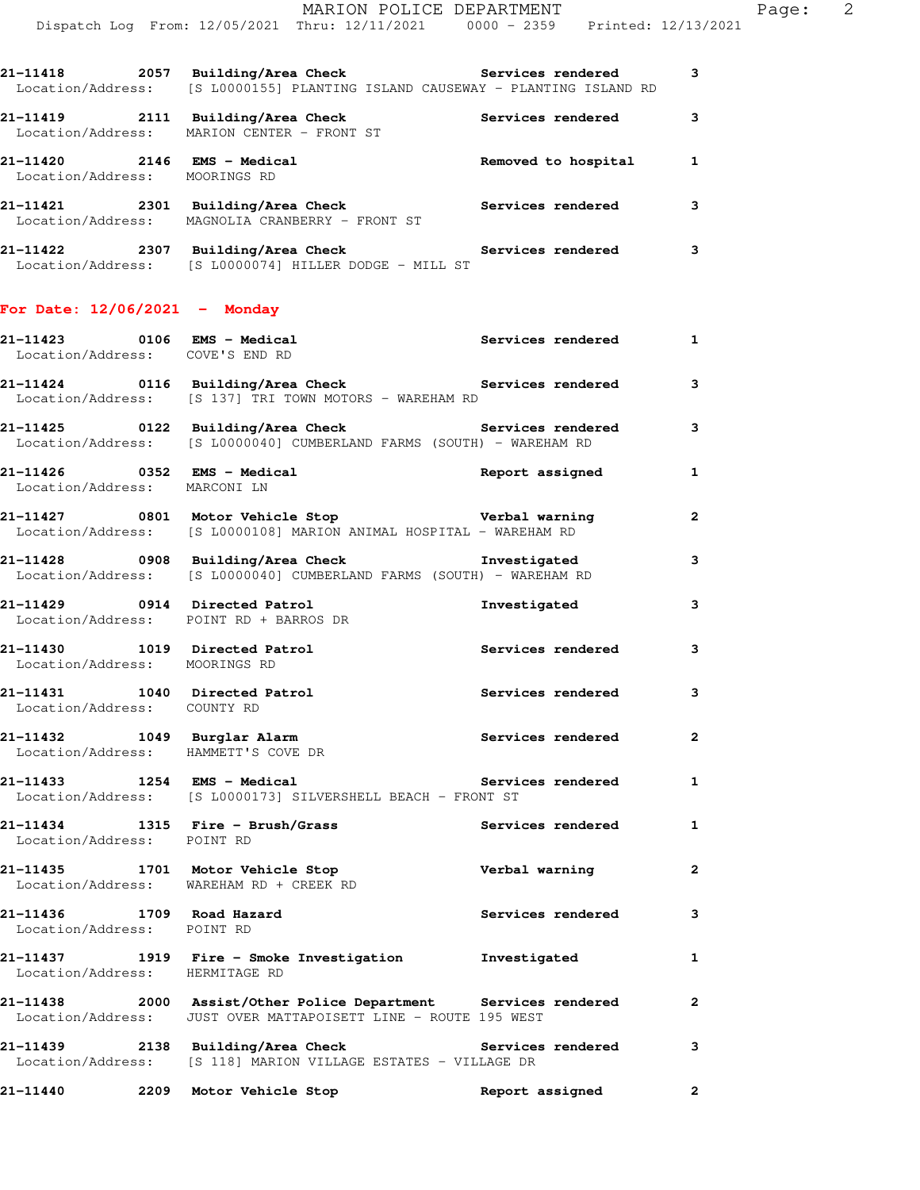|                             | 21-11418 2057 Building/Area Check Services rendered<br>Location/Address: [S L0000155] PLANTING ISLAND CAUSEWAY - PLANTING ISLAND RD |                          | 3            |
|-----------------------------|-------------------------------------------------------------------------------------------------------------------------------------|--------------------------|--------------|
|                             | 21-11419 2111 Building/Area Check<br>Location/Address: MARION CENTER - FRONT ST                                                     | Services rendered        | 3            |
|                             | 21-11420 2146 EMS - Medical and Removed to hospital<br>Location/Address: MOORINGS RD                                                |                          | 1            |
|                             | 21-11421 2301 Building/Area Check Services rendered<br>Location/Address: MAGNOLIA CRANBERRY - FRONT ST                              |                          | 3            |
|                             | 21-11422 2307 Building/Area Check Services rendered<br>Location/Address: [S L0000074] HILLER DODGE - MILL ST                        |                          | 3            |
|                             | For Date: $12/06/2021$ - Monday                                                                                                     |                          |              |
|                             | Location/Address: COVE'S END RD                                                                                                     |                          | 1            |
|                             | 21-11424 0116 Building/Area Check <b>Services</b> rendered<br>Location/Address: [S 137] TRI TOWN MOTORS - WAREHAM RD                |                          | 3            |
|                             | 21-11425 		 0122 Building/Area Check 		 Services rendered<br>Location/Address: [S L0000040] CUMBERLAND FARMS (SOUTH) - WAREHAM RD   |                          | 3            |
|                             | Location/Address: MARCONI LN                                                                                                        | Report assigned          | 1            |
|                             | 21-11427 0801 Motor Vehicle Stop <b>1988</b> Verbal warning<br>Location/Address: [S L0000108] MARION ANIMAL HOSPITAL - WAREHAM RD   |                          | 2            |
|                             | 21-11428 0908 Building/Area Check <b>The Investigated</b><br>Location/Address: [S L0000040] CUMBERLAND FARMS (SOUTH) - WAREHAM RD   |                          | 3            |
|                             | 21-11429 0914 Directed Patrol<br>Location/Address: POINT RD + BARROS DR                                                             | Investigated             | 3            |
|                             | 21-11430 1019 Directed Patrol<br>Location/Address: MOORINGS RD                                                                      | Services rendered        | 3            |
| Location/Address: COUNTY RD | 21-11431 1040 Directed Patrol                                                                                                       | Services rendered        | 3            |
|                             | 21-11432 1049 Burglar Alarm<br>Location/Address: HAMMETT'S COVE DR                                                                  | <b>Services rendered</b> | 2            |
|                             | 21-11433 1254 EMS - Medical<br>Location/Address: [S L0000173] SILVERSHELL BEACH - FRONT ST                                          | Services rendered        | $\mathbf{1}$ |
| Location/Address: POINT RD  | $21-11434$ 1315 Fire - Brush/Grass                                                                                                  | Services rendered        | 1            |
|                             | 21-11435 1701 Motor Vehicle Stop<br>Location/Address: WAREHAM RD + CREEK RD                                                         | Verbal warning           | $\mathbf{2}$ |
| Location/Address: POINT RD  | 21-11436 1709 Road Hazard                                                                                                           | <b>Services rendered</b> | 3            |
|                             | 21-11437   1919   Fire - Smoke Investigation   Investigated   Location/Address: HERMITAGE RD                                        |                          | 1            |
|                             | 21-11438 2000 Assist/Other Police Department Services rendered<br>Location/Address: JUST OVER MATTAPOISETT LINE - ROUTE 195 WEST    |                          | $\mathbf{2}$ |
|                             | 21-11439 2138 Building/Area Check Services rendered<br>Location/Address: [S 118] MARION VILLAGE ESTATES - VILLAGE DR                |                          | 3            |
|                             | 21-11440 2209 Motor Vehicle Stop                                                                                                    | Report assigned          | 2            |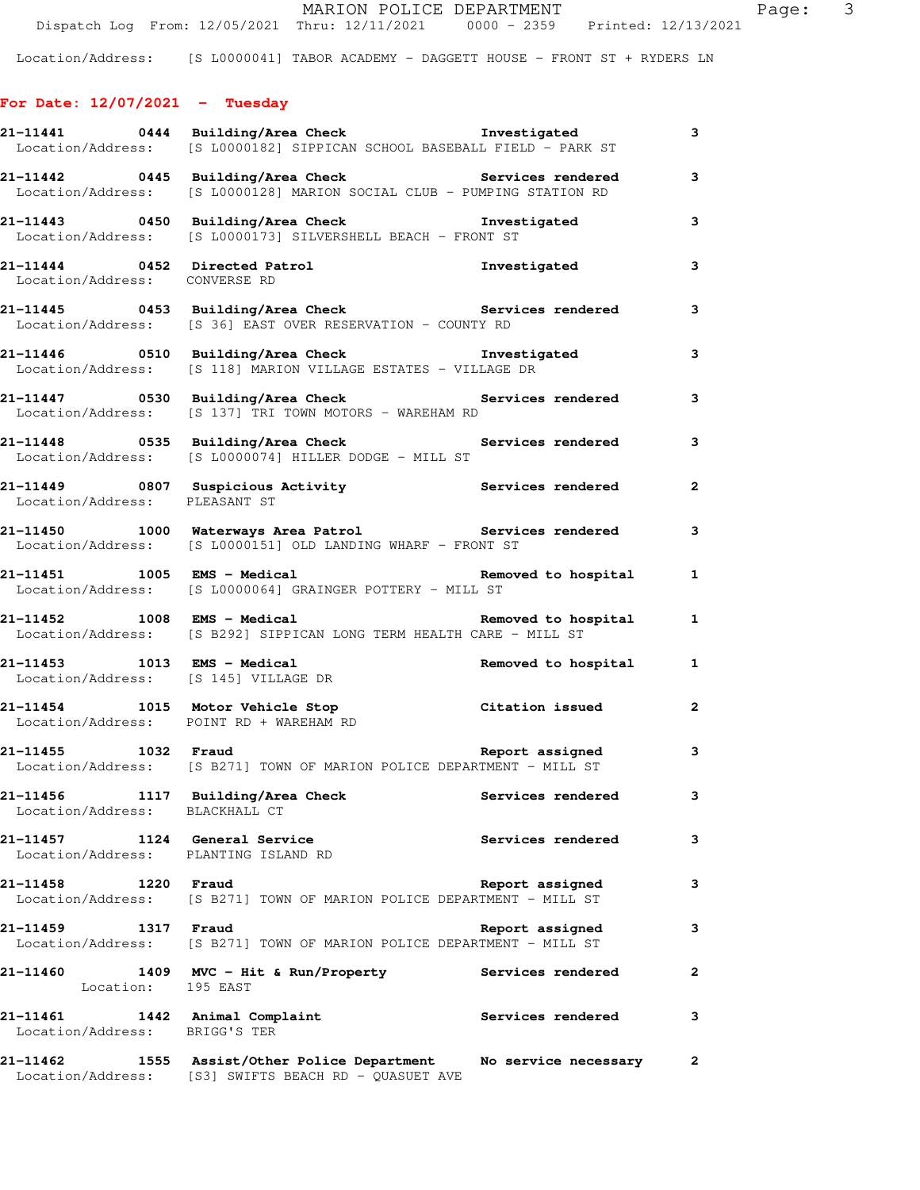## **For Date: 12/07/2021 - Tuesday**

|                                                                       | Location/Address: [S L0000182] SIPPICAN SCHOOL BASEBALL FIELD - PARK ST                                                       |                          | 3                       |
|-----------------------------------------------------------------------|-------------------------------------------------------------------------------------------------------------------------------|--------------------------|-------------------------|
|                                                                       | 21-11442 0445 Building/Area Check Services rendered<br>Location/Address: [S L0000128] MARION SOCIAL CLUB - PUMPING STATION RD |                          | 3                       |
|                                                                       | 21-11443 0450 Building/Area Check <b>Investigated</b><br>Location/Address: [S L0000173] SILVERSHELL BEACH - FRONT ST          |                          | 3                       |
| Location/Address: CONVERSE RD                                         | 21-11444 0452 Directed Patrol                                                                                                 | Investigated             | 3                       |
|                                                                       | 21-11445 0453 Building/Area Check Services rendered<br>Location/Address: [S 36] EAST OVER RESERVATION - COUNTY RD             |                          | 3                       |
|                                                                       | Location/Address: [S 118] MARION VILLAGE ESTATES - VILLAGE DR                                                                 |                          | 3                       |
|                                                                       | 21-11447 0530 Building/Area Check Services rendered<br>Location/Address: [S 137] TRI TOWN MOTORS - WAREHAM RD                 |                          | 3                       |
|                                                                       | 21-11448      0535  Building/Area Check          Services rendered<br>Location/Address: [S L0000074] HILLER DODGE - MILL ST   |                          | 3                       |
| Location/Address: PLEASANT ST                                         | 21-11449 0807 Suspicious Activity <b>120 Services</b> rendered                                                                |                          | $\mathbf{2}$            |
|                                                                       | 21-11450 1000 Waterways Area Patrol Services rendered<br>Location/Address: [S L0000151] OLD LANDING WHARF - FRONT ST          |                          | $\mathbf{3}$            |
|                                                                       | 21-11451 1005 EMS - Medical 1005 Removed to hospital<br>Location/Address: [S L0000064] GRAINGER POTTERY - MILL ST             |                          | $\mathbf{1}$            |
| 21-11452 1008 EMS - Medical                                           | Location/Address: [S B292] SIPPICAN LONG TERM HEALTH CARE - MILL ST                                                           | Removed to hospital 1    |                         |
| Location/Address: [S 145] VILLAGE DR                                  | $21-11453$ 1013 EMS - Medical Removed to hospital Removed to hospital Removed to hospital                                     |                          | $\mathbf{1}$            |
| 21-11454 1015 Motor Vehicle Stop                                      | Location/Address: POINT RD + WAREHAM RD                                                                                       | Citation issued          | $\overline{2}$          |
|                                                                       | 21-11455 1032 Fraud 100 Report assigned<br>Location/Address: [S B271] TOWN OF MARION POLICE DEPARTMENT - MILL ST              |                          | 3                       |
| Location/Address: BLACKHALL CT                                        | 21-11456 1117 Building/Area Check Services rendered                                                                           |                          | $\overline{\mathbf{3}}$ |
| 21-11457 1124 General Service<br>Location/Address: PLANTING ISLAND RD |                                                                                                                               | <b>Services rendered</b> | 3                       |
| 1220 Fraud<br>21-11458                                                | Location/Address: [S B271] TOWN OF MARION POLICE DEPARTMENT - MILL ST                                                         | Report assigned          | 3                       |
| 21-11459 1317 Fraud                                                   | Location/Address: [S B271] TOWN OF MARION POLICE DEPARTMENT - MILL ST                                                         | Report assigned          | 3                       |
| Location: 195 EAST                                                    | 21-11460    1409    MVC - Hit & Run/Property                                                                                  | Services rendered        | $\mathbf{2}$            |
| 21-11461 1442 Animal Complaint<br>Location/Address: BRIGG'S TER       |                                                                                                                               | <b>Services rendered</b> | 3                       |
| 21-11462                                                              | 1555 Assist/Other Police Department Mo service necessary 2<br>Location/Address: [S3] SWIFTS BEACH RD - QUASUET AVE            |                          |                         |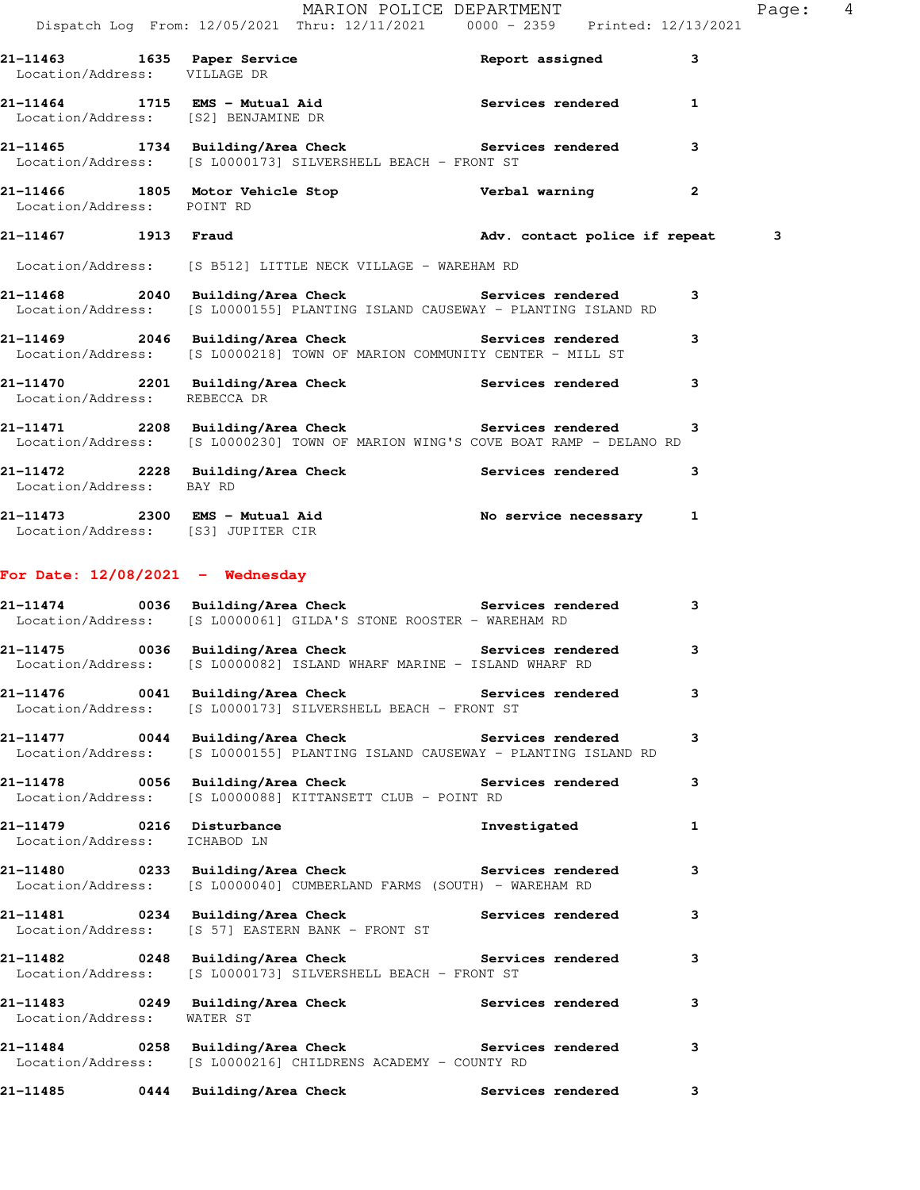|                                                           | Dispatch Log From: 12/05/2021 Thru: 12/11/2021 0000 - 2359 Printed: 12/13/2021                                                             |                   |                |
|-----------------------------------------------------------|--------------------------------------------------------------------------------------------------------------------------------------------|-------------------|----------------|
| Location/Address: VILLAGE DR                              | 21-11463 1635 Paper Service Netter Report assigned                                                                                         |                   | 3              |
|                                                           | 21-11464 1715 EMS - Mutual Aid Contract Services rendered 1<br>Location/Address: [S2] BENJAMINE DR                                         |                   |                |
|                                                           | 21-11465 1734 Building/Area Check Services rendered<br>Location/Address: [S L0000173] SILVERSHELL BEACH - FRONT ST                         |                   | 3              |
| Location/Address: POINT RD                                | 21-11466 1805 Motor Vehicle Stop Nerbal warning                                                                                            |                   | $\overline{2}$ |
|                                                           | 21-11467 1913 Fraud 1913 adv. contact police if repeat                                                                                     |                   | 3              |
|                                                           | Location/Address: [S B512] LITTLE NECK VILLAGE - WAREHAM RD                                                                                |                   |                |
|                                                           | 21-11468 2040 Building/Area Check Services rendered<br>Location/Address: [S L0000155] PLANTING ISLAND CAUSEWAY - PLANTING ISLAND RD        |                   | 3              |
|                                                           | 21-11469 2046 Building/Area Check Services rendered<br>Location/Address: [S L0000218] TOWN OF MARION COMMUNITY CENTER - MILL ST            |                   | 3              |
| Location/Address: REBECCA DR                              | 21-11470 2201 Building/Area Check Services rendered                                                                                        |                   | 3              |
|                                                           | 21-11471 2208 Building/Area Check Services rendered 3<br>Location/Address: [S L0000230] TOWN OF MARION WING'S COVE BOAT RAMP - DELANO RD   |                   |                |
| Location/Address: BAY RD                                  | 21-11472 2228 Building/Area Check Services rendered                                                                                        |                   | 3              |
| Location/Address: [S3] JUPITER CIR                        | 21-11473 2300 EMS - Mutual Aid<br>- 2300 EMS - Mutual Aid No service necessary 1                                                           |                   |                |
| For Date: $12/08/2021$ - Wednesday                        |                                                                                                                                            |                   |                |
|                                                           | 21-11474      0036  Building/Area Check          Services rendered<br>Location/Address: [S L0000061] GILDA'S STONE ROOSTER - WAREHAM RD    |                   | 3              |
|                                                           | 21-11475 0036 Building/Area Check <b>Services</b> rendered 3<br>Location/Address: [S L0000082] ISLAND WHARF MARINE - ISLAND WHARF RD       |                   |                |
|                                                           | 21-11476      0041  Building/Area Check          Services rendered<br>Location/Address: [S L0000173] SILVERSHELL BEACH - FRONT ST          |                   |                |
|                                                           | 21-11477 0044 Building/Area Check Services rendered<br>Location/Address: [S L0000155] PLANTING ISLAND CAUSEWAY - PLANTING ISLAND RD        |                   | 3              |
|                                                           | 21-11478 0056 Building/Area Check the Services rendered<br>Location/Address: [S L0000088] KITTANSETT CLUB - POINT RD                       |                   | 3              |
| 21-11479 0216 Disturbance<br>Location/Address: ICHABOD LN |                                                                                                                                            | Investigated      | 1              |
|                                                           | 21-11480      0233  Building/Area Check          Services rendered<br>Location/Address: [S L0000040] CUMBERLAND FARMS (SOUTH) - WAREHAM RD |                   | 3              |
|                                                           | 21-11481 0234 Building/Area Check Services rendered<br>Location/Address: [S 57] EASTERN BANK - FRONT ST                                    |                   | 3              |
|                                                           | 21-11482 		 0248 Building/Area Check 		 Services rendered<br>Location/Address: [S L0000173] SILVERSHELL BEACH - FRONT ST                   |                   | 3              |
| Location/Address: WATER ST                                | 21-11483 0249 Building/Area Check Services rendered                                                                                        |                   | 3              |
|                                                           | 21-11484      0258  Building/Area Check          Services rendered<br>Location/Address: [S L0000216] CHILDRENS ACADEMY - COUNTY RD         |                   | 3              |
| 21-11485                                                  | 0444 Building/Area Check                                                                                                                   | Services rendered | 3              |

MARION POLICE DEPARTMENT Fage: 4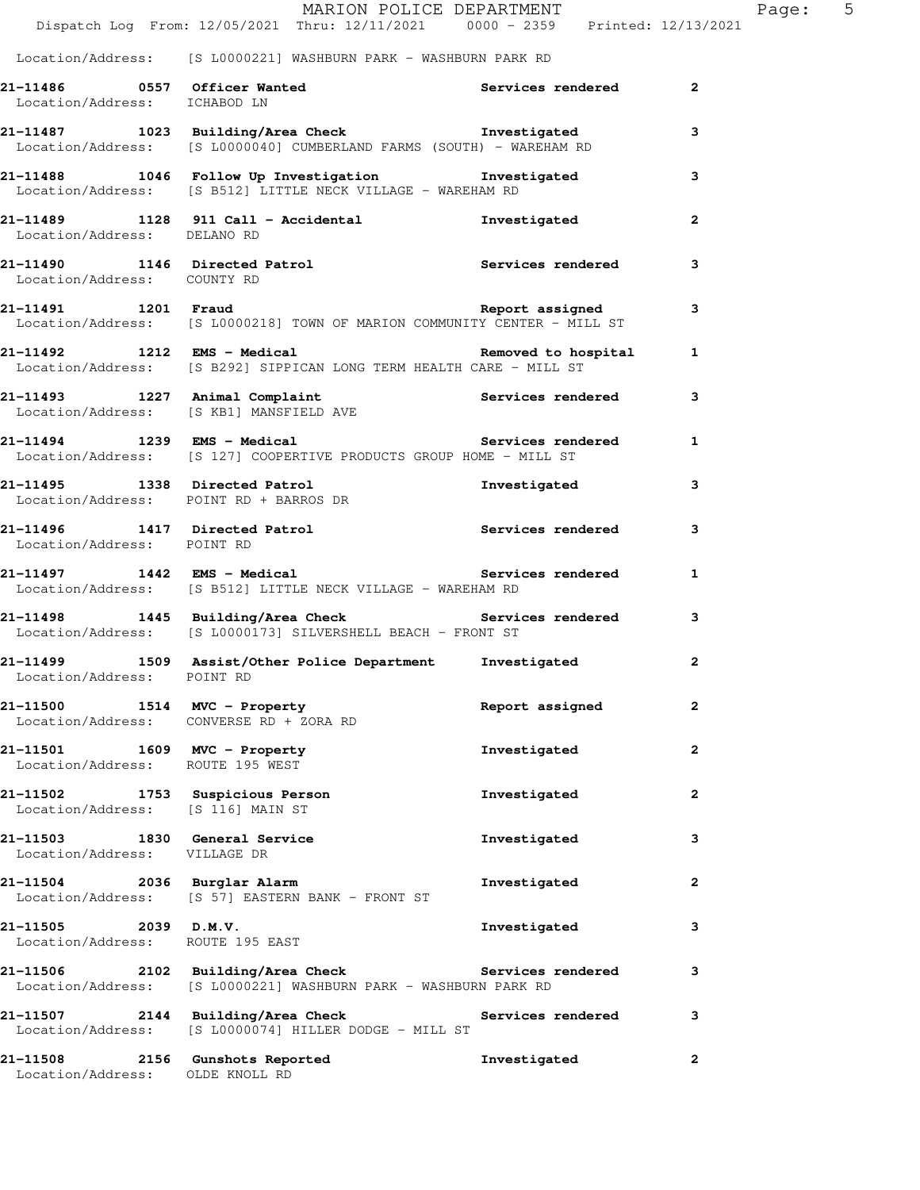|                                                               | Dispatch Log From: 12/05/2021 Thru: 12/11/2021 0000 - 2359 Printed: 12/13/2021                                          | MARION POLICE DEPARTMENT |              | Page: | $5^{\circ}$ |
|---------------------------------------------------------------|-------------------------------------------------------------------------------------------------------------------------|--------------------------|--------------|-------|-------------|
|                                                               |                                                                                                                         |                          |              |       |             |
|                                                               | Location/Address: [S L0000221] WASHBURN PARK - WASHBURN PARK RD                                                         |                          |              |       |             |
| Location/Address: ICHABOD LN                                  | 21-11486 0557 Officer Wanted Services rendered 2<br>Icentian (Address: ICHAROD IN                                       |                          |              |       |             |
|                                                               | 21-11487 1023 Building/Area Check 1nvestigated<br>Location/Address: [S L0000040] CUMBERLAND FARMS (SOUTH) - WAREHAM RD  |                          | 3            |       |             |
|                                                               | 21-11488 1046 Follow Up Investigation 1nvestigated 3<br>Location/Address: [S B512] LITTLE NECK VILLAGE - WAREHAM RD     |                          |              |       |             |
| Location/Address: DELANO RD                                   | 21-11489 1128 911 Call - Accidental Montangued Investigated                                                             |                          | $\mathbf{2}$ |       |             |
| Location/Address: COUNTY RD                                   | 21-11490 1146 Directed Patrol <b>120 Services</b> rendered 3                                                            |                          |              |       |             |
|                                                               | Location/Address: [S L0000218] TOWN OF MARION COMMUNITY CENTER - MILL ST                                                |                          | 3            |       |             |
|                                                               | 1 11492 1212 EMS - Medical Removed to hospital 1<br>Location/Address: [S B292] SIPPICAN LONG TERM HEALTH CARE - MILL ST |                          |              |       |             |
|                                                               | 21-11493 1227 Animal Complaint<br>Location/Address: [S KB1] MANSFIELD AVE <b>Services rendered</b> 3                    |                          |              |       |             |
|                                                               | Location/Address: [S 127] COOPERTIVE PRODUCTS GROUP HOME - MILL ST                                                      |                          |              |       |             |
|                                                               | 21-11495 1338 Directed Patrol 111495 1338 Directed Patrol 21-11495 1338 2011<br>Location/Address: POINT RD + BARROS DR  |                          |              |       |             |
| Location/Address: POINT RD                                    | 21-11496 1417 Directed Patrol <b>120 Services</b> rendered                                                              |                          | 3            |       |             |
|                                                               | 21-11497 1442 EMS - Medical Network Services rendered 1<br>Location/Address: [S B512] LITTLE NECK VILLAGE - WAREHAM RD  |                          |              |       |             |
|                                                               | 21-11498 1445 Building/Area Check 5ervices rendered 3<br>Location/Address: [S L0000173] SILVERSHELL BEACH - FRONT ST    |                          |              |       |             |
| Location/Address: POINT RD                                    | 21-11499 1509 Assist/Other Police Department Investigated                                                               |                          | $\mathbf{2}$ |       |             |
|                                                               | 21-11500 1514 MVC - Property<br>Location/Address: CONVERSE RD + ZORA RD                                                 | Report assigned          | 2            |       |             |
| Location/Address: ROUTE 195 WEST                              | 21-11501 1609 MVC - Property                                                                                            | Investigated             | $\mathbf{2}$ |       |             |
| Location/Address: [S 116] MAIN ST                             | 21-11502 1753 Suspicious Person                                                                                         | Investigated             | 2            |       |             |
| 21-11503 1830 General Service<br>Location/Address: VILLAGE DR |                                                                                                                         | Investigated             | 3            |       |             |
| 21-11504 2036 Burglar Alarm                                   | Location/Address: [S 57] EASTERN BANK - FRONT ST                                                                        | Investigated             | 2            |       |             |
| $21-11505$ 2039 D.M.V.<br>Location/Address: ROUTE 195 EAST    |                                                                                                                         | Investigated             | 3            |       |             |
|                                                               | 21-11506 2102 Building/Area Check Services rendered<br>Location/Address: [S L0000221] WASHBURN PARK - WASHBURN PARK RD  |                          | 3            |       |             |
|                                                               | 21-11507 2144 Building/Area Check Services rendered<br>Location/Address: [S L0000074] HILLER DODGE - MILL ST            |                          | 3            |       |             |
| Location/Address: OLDE KNOLL RD                               | 21-11508 2156 Gunshots Reported                                                                                         | Investigated             | 2            |       |             |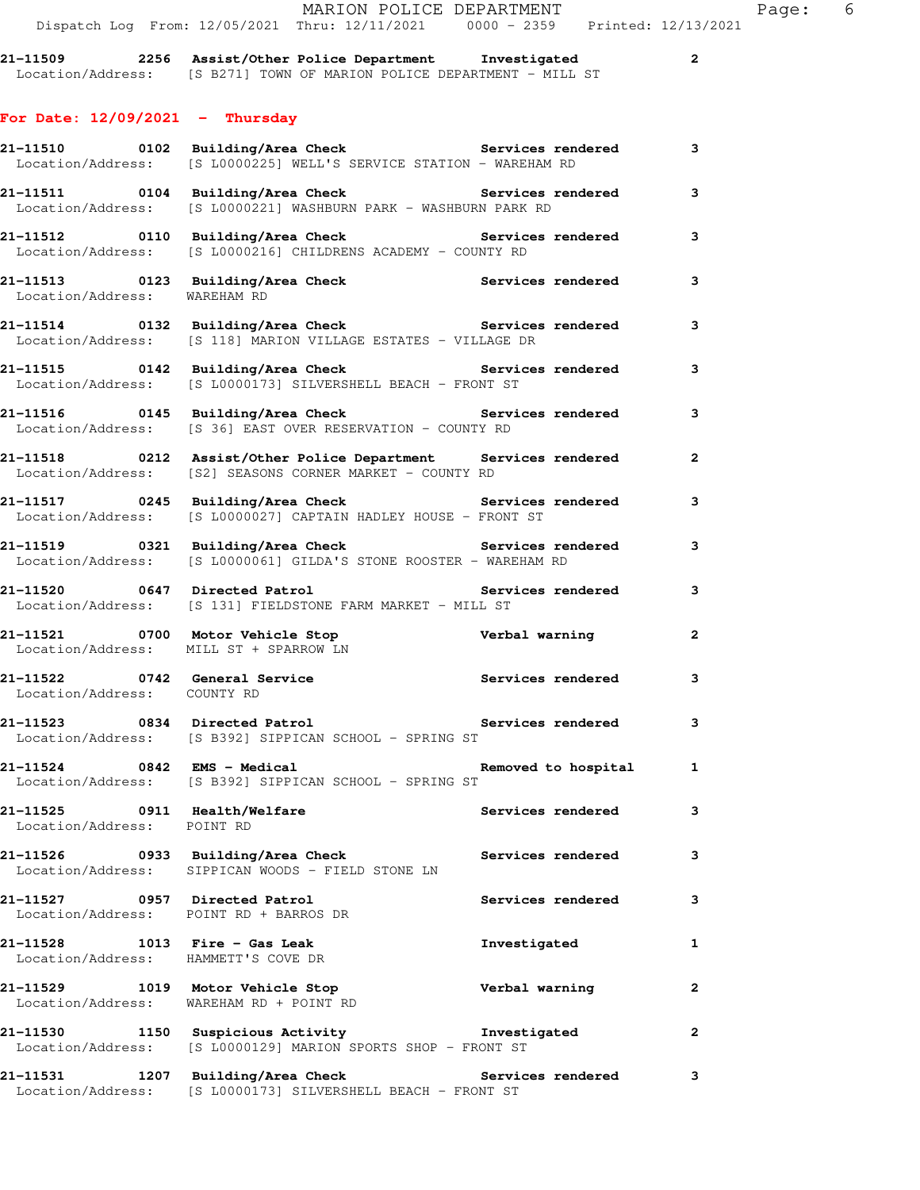**21-11510 0102 Building/Area Check Services rendered 3** 

Location/Address: [S L0000225] WELL'S SERVICE STATION - WAREHAM RD

**For Date: 12/09/2021 - Thursday**

21-11511 0104 Building/Area Check **Services rendered** 3 Location/Address: [S L0000221] WASHBURN PARK - WASHBURN PARK RD **21-11512 0110 Building/Area Check Services rendered 3**  Location/Address: [S L0000216] CHILDRENS ACADEMY - COUNTY RD **21-11513 0123 Building/Area Check Services rendered 3**  Location/Address: WAREHAM RD **21-11514 0132 Building/Area Check Services rendered 3**  Location/Address: [S 118] MARION VILLAGE ESTATES - VILLAGE DR **21-11515 0142 Building/Area Check Services rendered 3**  Location/Address: [S L0000173] SILVERSHELL BEACH - FRONT ST **21-11516 0145 Building/Area Check Services rendered 3**  Location/Address: [S 36] EAST OVER RESERVATION - COUNTY RD **21-11518 0212 Assist/Other Police Department Services rendered 2**  Location/Address: [S2] SEASONS CORNER MARKET - COUNTY RD **21-11517 0245 Building/Area Check Services rendered 3**  Location/Address: [S L0000027] CAPTAIN HADLEY HOUSE - FRONT ST **21-11519 0321 Building/Area Check Services rendered 3**  Location/Address: [S L0000061] GILDA'S STONE ROOSTER - WAREHAM RD **21-11520 0647 Directed Patrol Services rendered 3**  Location/Address: [S 131] FIELDSTONE FARM MARKET - MILL ST **21-11521 0700 Motor Vehicle Stop Verbal warning 2**  Location/Address: MILL ST + SPARROW LN **21-11522 0742 General Service Services rendered 3**  Location/Address: COUNTY RD **21-11523 0834 Directed Patrol Services rendered 3**  Location/Address: [S B392] SIPPICAN SCHOOL - SPRING ST **21-11524 0842 EMS - Medical Removed to hospital 1**  Location/Address: [S B392] SIPPICAN SCHOOL - SPRING ST **21-11525 0911 Health/Welfare Services rendered 3**  Location/Address: POINT RD **21-11526 0933 Building/Area Check Services rendered 3**  Location/Address: SIPPICAN WOODS - FIELD STONE LN **21-11527 0957 Directed Patrol Services rendered 3**  Location/Address: POINT RD + BARROS DR **21-11528 1013 Fire - Gas Leak Investigated 1**  Location/Address: HAMMETT'S COVE DR **21-11529 1019 Motor Vehicle Stop Verbal warning 2**  Location/Address: WAREHAM RD + POINT RD **21-11530 1150 Suspicious Activity Investigated 2**  Location/Address: [S L0000129] MARION SPORTS SHOP - FRONT ST **21-11531 1207 Building/Area Check Services rendered 3**  Location/Address: [S L0000173] SILVERSHELL BEACH - FRONT ST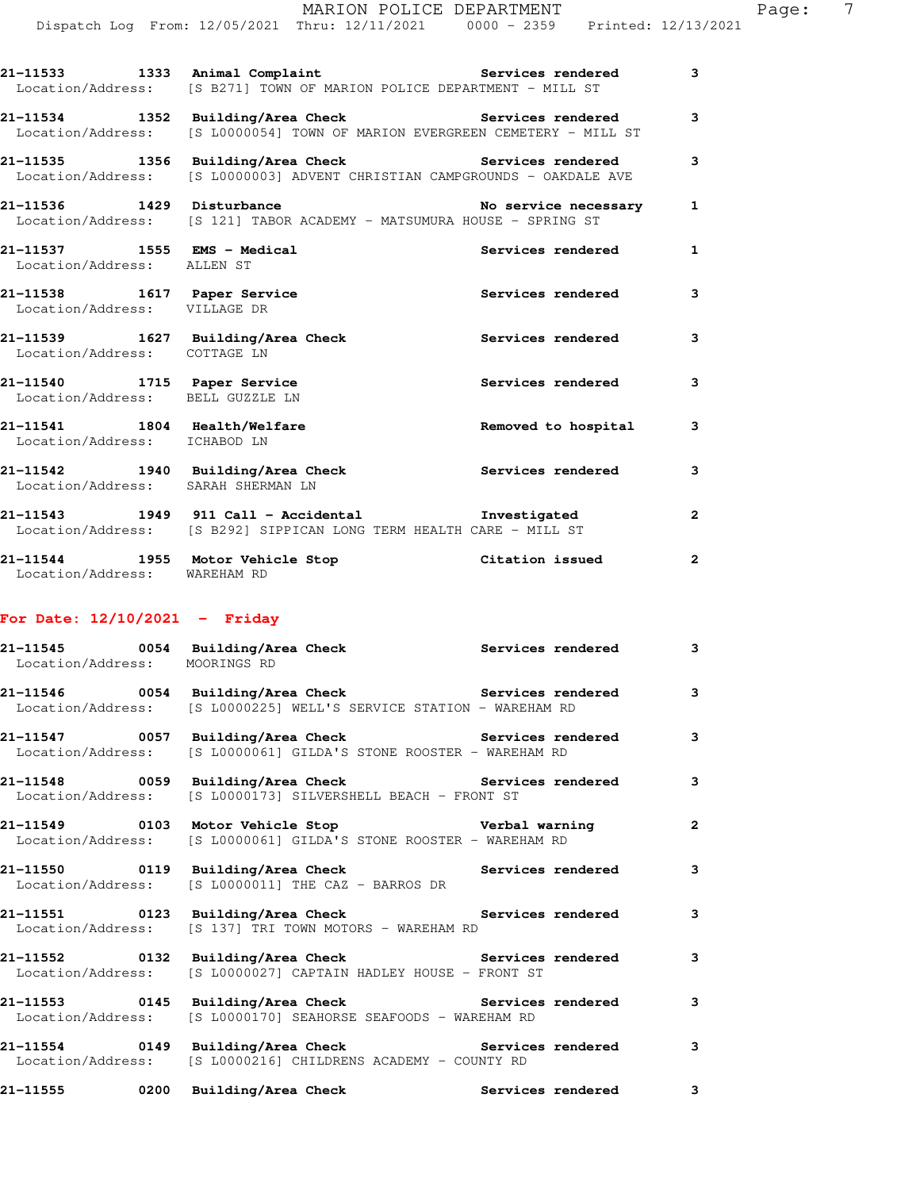|                                                                 | 21-11533 1333 Animal Complaint 1997 Services rendered<br>Location/Address: [S B271] TOWN OF MARION POLICE DEPARTMENT - MILL ST         |                          | 3            |
|-----------------------------------------------------------------|----------------------------------------------------------------------------------------------------------------------------------------|--------------------------|--------------|
|                                                                 | 21-11534 1352 Building/Area Check 1988 Services rendered<br>Location/Address: [S L0000054] TOWN OF MARION EVERGREEN CEMETERY - MILL ST |                          | 3            |
|                                                                 | 21-11535 1356 Building/Area Check 1997 Services rendered<br>Location/Address: [S L0000003] ADVENT CHRISTIAN CAMPGROUNDS - OAKDALE AVE  |                          | 3            |
| 21-11536 1429 Disturbance                                       | Location/Address: [S 121] TABOR ACADEMY - MATSUMURA HOUSE - SPRING ST                                                                  | No service necessary     | $\mathbf{1}$ |
| 21-11537 1555 EMS - Medical<br>Location/Address: ALLEN ST       |                                                                                                                                        | Services rendered        | $\mathbf{1}$ |
| 21-11538 1617 Paper Service<br>Location/Address: VILLAGE DR     |                                                                                                                                        | Services rendered        | 3            |
| Location/Address: COTTAGE LN                                    | 21-11539 1627 Building/Area Check                                                                                                      | Services rendered        | 3            |
| 21-11540 1715 Paper Service<br>Location/Address: BELL GUZZLE LN |                                                                                                                                        | Services rendered        | 3            |
| 21-11541 1804 Health/Welfare<br>Location/Address: ICHABOD LN    |                                                                                                                                        | Removed to hospital      | 3            |
| Location/Address: SARAH SHERMAN LN                              | 21-11542 1940 Building/Area Check Services rendered                                                                                    |                          | 3            |
|                                                                 | 21-11543 1949 911 Call - Accidental Threstigated<br>Location/Address: [S B292] SIPPICAN LONG TERM HEALTH CARE - MILL ST                |                          | $\mathbf{2}$ |
| Location/Address: WAREHAM RD                                    | 21-11544 1955 Motor Vehicle Stop Citation issued                                                                                       |                          | $\mathbf{2}$ |
| For Date: $12/10/2021$ - Friday                                 |                                                                                                                                        |                          |              |
| Location/Address: MOORINGS RD                                   | 21-11545 0054 Building/Area Check Services rendered                                                                                    |                          | $\mathbf{3}$ |
|                                                                 | 21-11546 0054 Building/Area Check 5 Services rendered 3<br>Location/Address: [S L0000225] WELL'S SERVICE STATION - WAREHAM RD          |                          |              |
| 21-11547<br>Location/Address:                                   | 0057 Building/Area Check<br>[S L0000061] GILDA'S STONE ROOSTER - WAREHAM RD                                                            | Services rendered        | 3            |
| 21-11548<br>0059<br>Location/Address:                           | Building/Area Check<br>[S L0000173] SILVERSHELL BEACH - FRONT ST                                                                       | <b>Services rendered</b> | 3            |
| 21-11549<br>0103<br>Location/Address:                           | Motor Vehicle Stop<br>[S L0000061] GILDA'S STONE ROOSTER - WAREHAM RD                                                                  | Verbal warning           | 2            |
| 0119<br>21-11550<br>Location/Address:                           | Building/Area Check<br>[S L0000011] THE CAZ - BARROS DR                                                                                | Services rendered        | 3            |
| 21–11551<br>Location/Address:                                   | 0123 Building/Area Check<br>[S 137] TRI TOWN MOTORS - WAREHAM RD                                                                       | Services rendered        | 3            |

**21-11552 0132 Building/Area Check Services rendered 3**  Location/Address: [S L0000027] CAPTAIN HADLEY HOUSE - FRONT ST

**21-11553 0145 Building/Area Check Services rendered 3**  Location/Address: [S L0000170] SEAHORSE SEAFOODS - WAREHAM RD

**21-11554 0149 Building/Area Check Services rendered 3**  Location/Address: [S L0000216] CHILDRENS ACADEMY - COUNTY RD

**21-11555 0200 Building/Area Check Services rendered 3**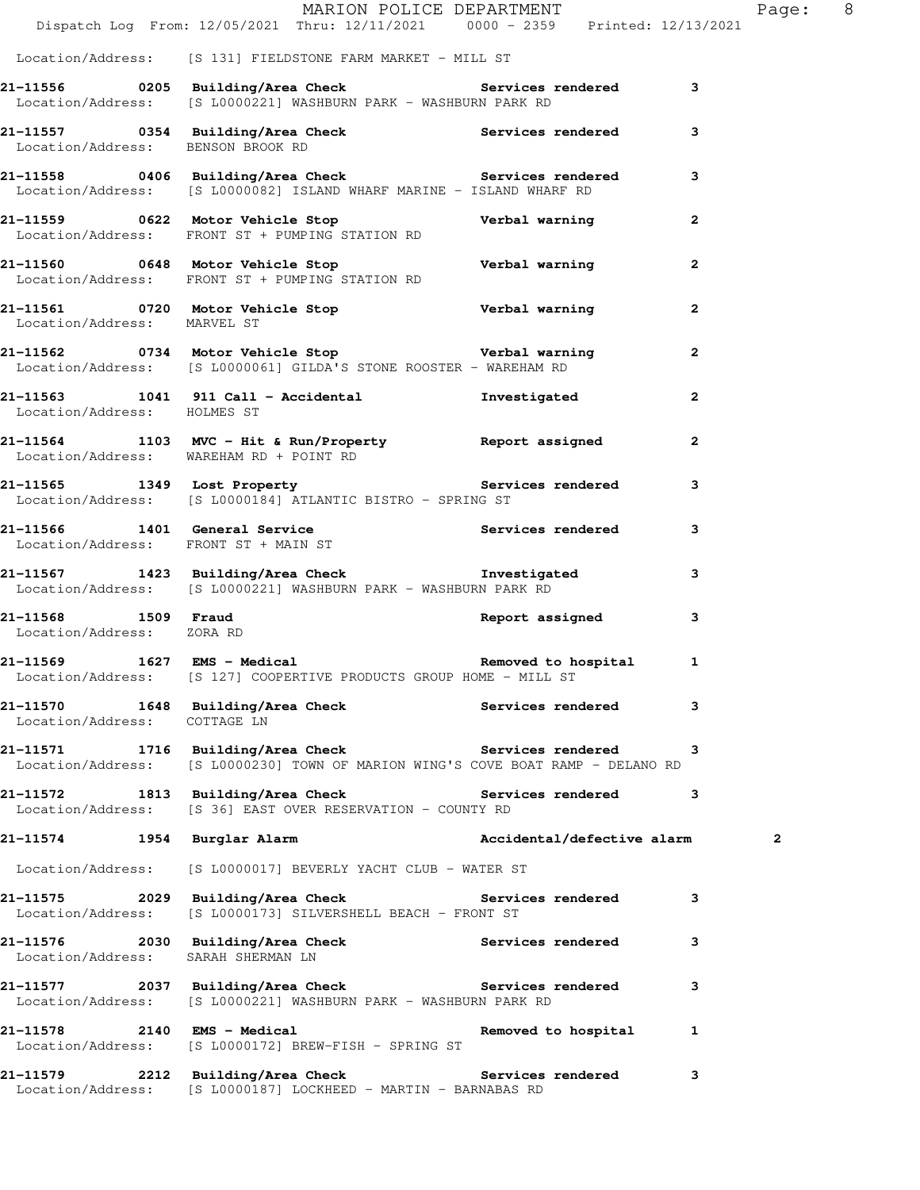|                                                  | MARION POLICE DEPARTMENT<br>Dispatch Log From: 12/05/2021 Thru: 12/11/2021 0000 - 2359 Printed: 12/13/2021                             |                       | Page: 8      |
|--------------------------------------------------|----------------------------------------------------------------------------------------------------------------------------------------|-----------------------|--------------|
|                                                  | Location/Address: [S 131] FIELDSTONE FARM MARKET - MILL ST                                                                             |                       |              |
|                                                  | 21-11556 		 0205 Building/Area Check 		 Services rendered 3<br>Location/Address: [S L0000221] WASHBURN PARK - WASHBURN PARK RD         |                       |              |
| Location/Address: BENSON BROOK RD                | 21-11557 0354 Building/Area Check 5ervices rendered                                                                                    |                       | 3            |
|                                                  | 21-11558 0406 Building/Area Check Services rendered<br>Location/Address: [S L0000082] ISLAND WHARF MARINE - ISLAND WHARF RD            |                       | $\mathbf{3}$ |
|                                                  | 21-11559 0622 Motor Vehicle Stop Nerbal warning<br>Location/Address: FRONT ST + PUMPING STATION RD                                     |                       | $\mathbf{2}$ |
|                                                  | 21-11560 0648 Motor Vehicle Stop Nerbal warning<br>Location/Address: FRONT ST + PUMPING STATION RD                                     |                       | $\mathbf{2}$ |
| Location/Address: MARVEL ST                      | 21-11561 0720 Motor Vehicle Stop Nerbal warning                                                                                        |                       | $\mathbf{2}$ |
|                                                  | 21-11562 0734 Motor Vehicle Stop Nerbal warning<br>Location/Address: [S L0000061] GILDA'S STONE ROOSTER - WAREHAM RD                   |                       | $\mathbf{2}$ |
| Location/Address: HOLMES ST                      | 21-11563 1041 911 Call - Accidental Threstigated                                                                                       |                       | $\mathbf{2}$ |
|                                                  | 21-11564 1103 MVC - Hit & Run/Property Report assigned<br>Location/Address: WAREHAM RD + POINT RD                                      |                       | $\mathbf{2}$ |
|                                                  | 21-11565 1349 Lost Property Services rendered<br>Location/Address: [S L0000184] ATLANTIC BISTRO - SPRING ST                            |                       | 3            |
|                                                  | 21-11566 1401 General Service Services rendered Location/Address: FRONT ST + MAIN ST                                                   |                       | 3            |
|                                                  | 21-11567 1423 Building/Area Check 1nvestigated<br>Location/Address: [S L0000221] WASHBURN PARK - WASHBURN PARK RD                      |                       | 3            |
| 21-11568 1509 Fraud<br>Location/Address: ZORA RD |                                                                                                                                        | Report assigned       | 3            |
|                                                  | 21-11569 1627 EMS - Medical 1 21-11569 Removed to hospital 1<br>Location/Address: [S 127] COOPERTIVE PRODUCTS GROUP HOME - MILL ST     |                       |              |
| Location/Address: COTTAGE LN                     | 21-11570 1648 Building/Area Check 1997 Services rendered                                                                               |                       | 3            |
|                                                  | 21-11571 1716 Building/Area Check Services rendered<br>Location/Address: [S L0000230] TOWN OF MARION WING'S COVE BOAT RAMP - DELANO RD |                       | 3            |
|                                                  | 21-11572 1813 Building/Area Check Services rendered<br>Location/Address: [S 36] EAST OVER RESERVATION - COUNTY RD                      |                       | 3            |
|                                                  | 21-11574 1954 Burglar Alarm Neroland Accidental/defective alarm                                                                        |                       | $\mathbf{2}$ |
|                                                  | Location/Address: [S L0000017] BEVERLY YACHT CLUB - WATER ST                                                                           |                       |              |
| Location/Address:                                | 21-11575 2029 Building/Area Check Services rendered<br>[S L0000173] SILVERSHELL BEACH - FRONT ST                                       |                       | 3            |
| Location/Address:                                | 21-11576 2030 Building/Area Check Services rendered<br>Location/Address: SARAH SHERMAN IN<br>SARAH SHERMAN LN                          |                       | 3            |
|                                                  | 21-11577 2037 Building/Area Check Services rendered<br>Location/Address: [S L0000221] WASHBURN PARK - WASHBURN PARK RD                 |                       | 3            |
|                                                  | 21-11578 2140 EMS - Medical<br>Location/Address: [S L0000172] BREW-FISH - SPRING ST                                                    | Removed to hospital 1 |              |
|                                                  | 21-11579 2212 Building/Area Check Services rendered<br>Location/Address: [S L0000187] LOCKHEED - MARTIN - BARNABAS RD                  |                       | 3            |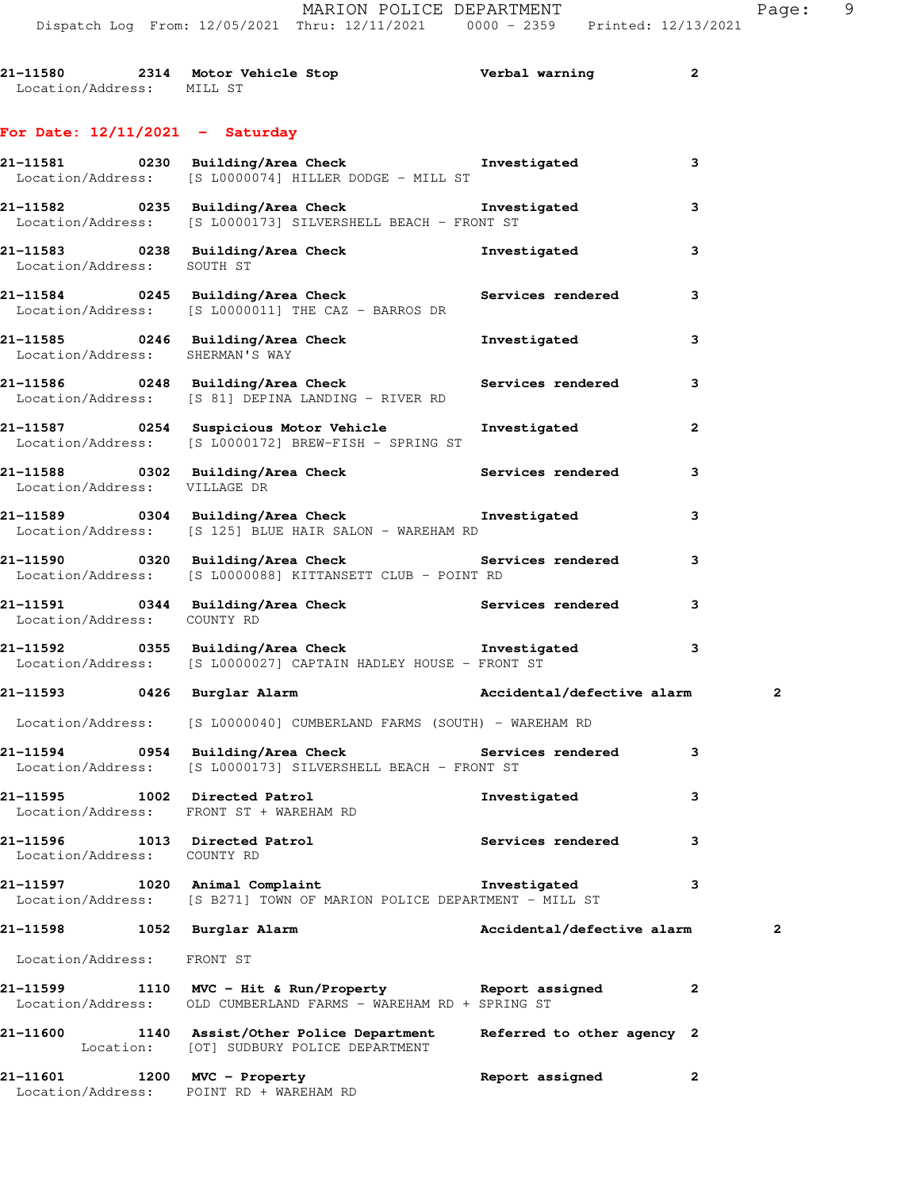| 21-11580          | 2314 Motor Vehicle Stop | Verbal warning |  |
|-------------------|-------------------------|----------------|--|
| Location/Address: | MILL ST                 |                |  |

## **For Date: 12/11/2021 - Saturday**

|                                         | 21-11581      0230  Building/Area Check          Investigated<br>Location/Address: [S L0000074] HILLER DODGE - MILL ST          |                            | 3            |
|-----------------------------------------|---------------------------------------------------------------------------------------------------------------------------------|----------------------------|--------------|
|                                         | 21-11582 0235 Building/Area Check <b>The Investigated</b><br>Location/Address: [S L0000173] SILVERSHELL BEACH - FRONT ST        |                            | 3            |
| Location/Address: SOUTH ST              | 21-11583 0238 Building/Area Check <b>The Investigated</b>                                                                       |                            | 3            |
|                                         | 21-11584 0245 Building/Area Check <b>Services</b> rendered<br>Location/Address: [S L0000011] THE CAZ - BARROS DR                |                            | $\mathbf{3}$ |
| Location/Address: SHERMAN'S WAY         | 21-11585 0246 Building/Area Check <b>The Investigated</b>                                                                       |                            | 3            |
|                                         | 21-11586 0248 Building/Area Check 6 Services rendered 3<br>Location/Address: [S 81] DEPINA LANDING - RIVER RD                   |                            |              |
|                                         | 21-11587      0254   Suspicious Motor Vehicle       Investigated<br>Location/Address: [S L0000172] BREW-FISH - SPRING ST        |                            | 2            |
| Location/Address: VILLAGE DR            | 21-11588      0302  Building/Area Check          Services rendered                                                              |                            | $\mathbf{3}$ |
|                                         | 21-11589 0304 Building/Area Check <b>The Investigated</b><br>Location/Address: [S 125] BLUE HAIR SALON - WAREHAM RD             |                            | 3            |
|                                         | 21-11590 0320 Building/Area Check Services rendered<br>Location/Address: [S L0000088] KITTANSETT CLUB - POINT RD                |                            | 3            |
| Location/Address: COUNTY RD             | 21-11591 0344 Building/Area Check Services rendered                                                                             |                            | 3            |
|                                         | 21-11592      0355  Building/Area Check          Investigated<br>Location/Address: [S L0000027] CAPTAIN HADLEY HOUSE - FRONT ST |                            | 3            |
|                                         | 21-11593 0426 Burglar Alarm National Accidental/defective alarm                                                                 |                            | 2            |
|                                         | Location/Address: [S L0000040] CUMBERLAND FARMS (SOUTH) - WAREHAM RD                                                            |                            |              |
|                                         | 21-11594 0954 Building/Area Check <b>Services</b> rendered 3<br>Location/Address: [S L0000173] SILVERSHELL BEACH - FRONT ST     |                            |              |
|                                         | 21-11595 1002 Directed Patrol<br>Location/Address: FRONT ST + WAREHAM RD                                                        | Investigated               | 3            |
| 21-11596<br>Location/Address: COUNTY RD | 1013 Directed Patrol                                                                                                            | <b>Services rendered</b>   | 3            |
| <b>21-11597</b>                         | 1020 Animal Complaint<br>Location/Address: [S B271] TOWN OF MARION POLICE DEPARTMENT - MILL ST                                  | Investigated               | 3            |
| 21-11598 1052 Burglar Alarm             |                                                                                                                                 | Accidental/defective alarm | 2            |
| Location/Address: FRONT ST              |                                                                                                                                 |                            |              |
|                                         | 21-11599 1110 MVC - Hit & Run/Property Report assigned<br>Location/Address: OLD CUMBERLAND FARMS - WAREHAM RD + SPRING ST       |                            | $\mathbf{2}$ |
|                                         | 21-11600 1140 Assist/Other Police Department<br>Location: [OT] SUDBURY POLICE DEPARTMENT                                        | Referred to other agency 2 |              |
| 21-11601                                | 1200 MVC - Property<br>Location/Address: POINT RD + WAREHAM RD                                                                  | Report assigned            | 2            |